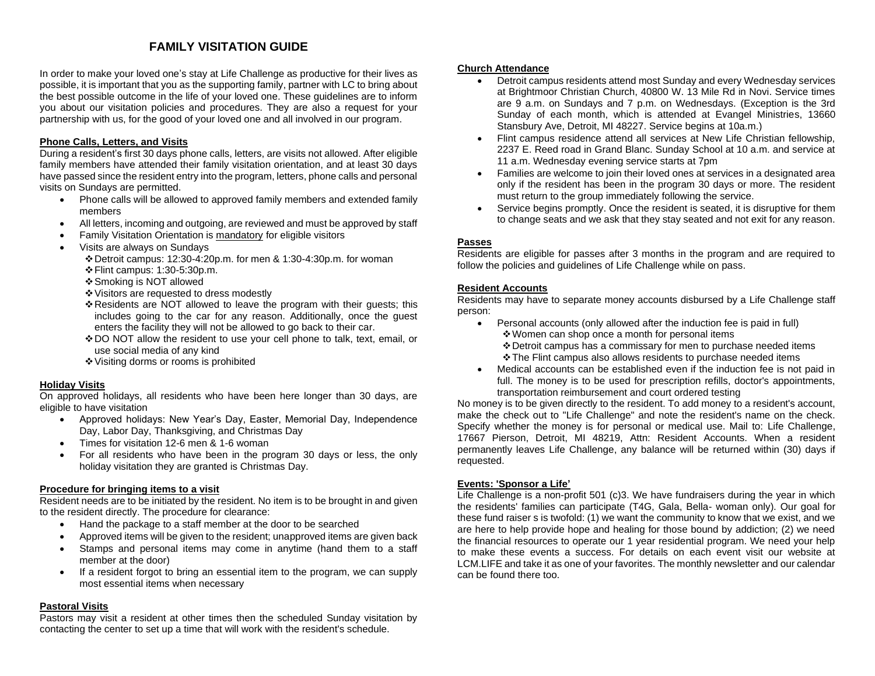# **FAMILY VISITATION GUIDE**

In order to make your loved one's stay at Life Challenge as productive for their lives as possible, it is important that you as the supporting family, partner with LC to bring about the best possible outcome in the life of your loved one. These guidelines are to inform you about our visitation policies and procedures. They are also a request for your partnership with us, for the good of your loved one and all involved in our program.

## **Phone Calls, Letters, and Visits**

During a resident's first 30 days phone calls, letters, are visits not allowed. After eligible family members have attended their family visitation orientation, and at least 30 days have passed since the resident entry into the program, letters, phone calls and personal visits on Sundays are permitted.

- Phone calls will be allowed to approved family members and extended family members
- All letters, incoming and outgoing, are reviewed and must be approved by staff
- Family Visitation Orientation is mandatory for eligible visitors
- Visits are always on Sundays
	- ❖Detroit campus: 12:30-4:20p.m. for men & 1:30-4:30p.m. for woman ❖Flint campus: 1:30-5:30p.m.
	- ❖Smoking is NOT allowed
	- ❖Visitors are requested to dress modestly
	- ❖Residents are NOT allowed to leave the program with their guests; this includes going to the car for any reason. Additionally, once the guest enters the facility they will not be allowed to go back to their car.
	- ❖DO NOT allow the resident to use your cell phone to talk, text, email, or use social media of any kind
	- ❖Visiting dorms or rooms is prohibited

#### **Holiday Visits**

On approved holidays, all residents who have been here longer than 30 days, are eligible to have visitation

- Approved holidays: New Year's Day, Easter, Memorial Day, Independence Day, Labor Day, Thanksgiving, and Christmas Day
- Times for visitation 12-6 men & 1-6 woman
- For all residents who have been in the program 30 days or less, the only holiday visitation they are granted is Christmas Day.

#### **Procedure for bringing items to a visit**

Resident needs are to be initiated by the resident. No item is to be brought in and given to the resident directly. The procedure for clearance:

- Hand the package to a staff member at the door to be searched
- Approved items will be given to the resident; unapproved items are given back
- Stamps and personal items may come in anytime (hand them to a staff member at the door)
- If a resident forgot to bring an essential item to the program, we can supply most essential items when necessary

#### **Pastoral Visits**

Pastors may visit a resident at other times then the scheduled Sunday visitation by contacting the center to set up a time that will work with the resident's schedule.

### **Church Attendance**

- Detroit campus residents attend most Sunday and every Wednesday services at Brightmoor Christian Church, 40800 W. 13 Mile Rd in Novi. Service times are 9 a.m. on Sundays and 7 p.m. on Wednesdays. (Exception is the 3rd Sunday of each month, which is attended at Evangel Ministries, 13660 Stansbury Ave, Detroit, MI 48227. Service begins at 10a.m.)
- Flint campus residence attend all services at New Life Christian fellowship, 2237 E. Reed road in Grand Blanc. Sunday School at 10 a.m. and service at 11 a.m. Wednesday evening service starts at 7pm
- Families are welcome to join their loved ones at services in a designated area only if the resident has been in the program 30 days or more. The resident must return to the group immediately following the service.
- Service begins promptly. Once the resident is seated, it is disruptive for them to change seats and we ask that they stay seated and not exit for any reason.

#### **Passes**

Residents are eligible for passes after 3 months in the program and are required to follow the policies and guidelines of Life Challenge while on pass.

#### **Resident Accounts**

Residents may have to separate money accounts disbursed by a Life Challenge staff person:

- Personal accounts (only allowed after the induction fee is paid in full) ❖Women can shop once a month for personal items ❖Detroit campus has a commissary for men to purchase needed items ❖The Flint campus also allows residents to purchase needed items
- Medical accounts can be established even if the induction fee is not paid in full. The money is to be used for prescription refills, doctor's appointments, transportation reimbursement and court ordered testing

No money is to be given directly to the resident. To add money to a resident's account, make the check out to "Life Challenge" and note the resident's name on the check. Specify whether the money is for personal or medical use. Mail to: Life Challenge, 17667 Pierson, Detroit, MI 48219, Attn: Resident Accounts. When a resident permanently leaves Life Challenge, any balance will be returned within (30) days if requested.

#### **Events: 'Sponsor a Life'**

Life Challenge is a non-profit 501 (c)3. We have fundraisers during the year in which the residents' families can participate (T4G, Gala, Bella- woman only). Our goal for these fund raiser s is twofold: (1) we want the community to know that we exist, and we are here to help provide hope and healing for those bound by addiction; (2) we need the financial resources to operate our 1 year residential program. We need your help to make these events a success. For details on each event visit our website at LCM.LIFE and take it as one of your favorites. The monthly newsletter and our calendar can be found there too.